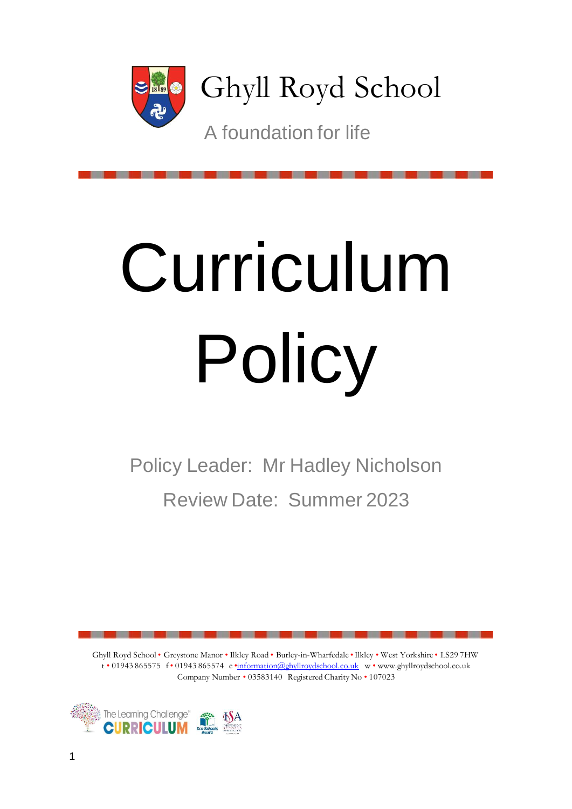

Ghyll Royd School

A foundation for life

# Curriculum Policy

Policy Leader: Mr Hadley Nicholson Review Date: Summer 2023

Ghyll Royd School • Greystone Manor • Ilkley Road • Burley-in-Wharfedale •Ilkley • West Yorkshire • LS29 7HW t • 01943 865575 f • 01943 865574 e •information@ghyllroydschool.co.uk w • www.ghyllroydschool.co.uk Company Number • 03583140 Registered Charity No • 107023

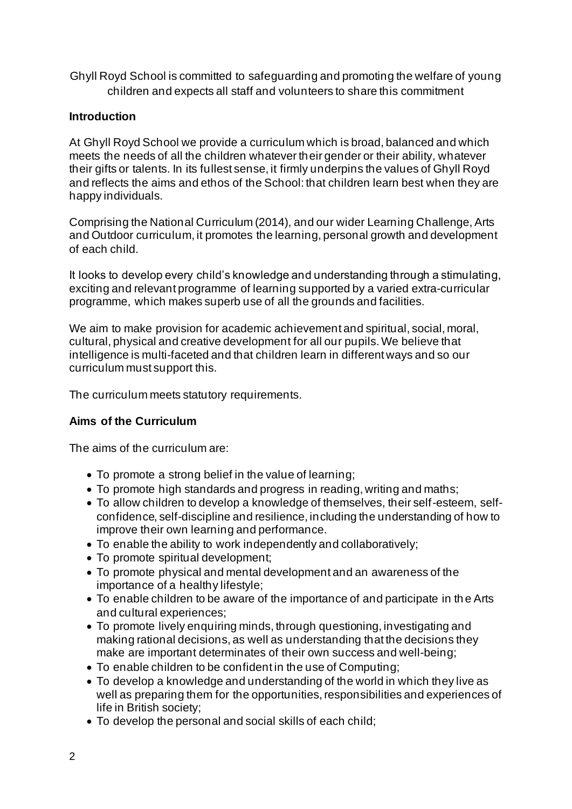Ghyll Royd School is committed to safeguarding and promoting the welfare of young children and expects all staff and volunteers to share this commitment

# **Introduction**

At Ghyll Royd School we provide a curriculum which is broad, balanced and which meets the needs of all the children whatever their gender or their ability, whatever their gifts or talents. In its fullest sense, it firmly underpins the values of Ghyll Royd and reflects the aims and ethos of the School: that children learn best when they are happy individuals.

Comprising the National Curriculum (2014), and our wider Learning Challenge, Arts and Outdoor curriculum, it promotes the learning, personal growth and development of each child.

It looks to develop every child's knowledge and understanding through a stimulating, exciting and relevant programme of learning supported by a varied extra-curricular programme, which makes superb use of all the grounds and facilities.

We aim to make provision for academic achievement and spiritual, social, moral, cultural, physical and creative development for all our pupils. We believe that intelligence is multi-faceted and that children learn in different ways and so our curriculum must support this.

The curriculum meets statutory requirements.

# **Aims of the Curriculum**

The aims of the curriculum are:

- To promote a strong belief in the value of learning;
- To promote high standards and progress in reading, writing and maths;
- To allow children to develop a knowledge of themselves, their self-esteem, selfconfidence, self-discipline and resilience, including the understanding of how to improve their own learning and performance.
- To enable the ability to work independently and collaboratively;
- To promote spiritual development;
- To promote physical and mental development and an awareness of the importance of a healthy lifestyle;
- To enable children to be aware of the importance of and participate in th e Arts and cultural experiences;
- To promote lively enquiring minds, through questioning, investigating and making rational decisions, as well as understanding that the decisions they make are important determinates of their own success and well-being;
- To enable children to be confident in the use of Computing;
- To develop a knowledge and understanding of the world in which they live as well as preparing them for the opportunities, responsibilities and experiences of life in British society;
- To develop the personal and social skills of each child;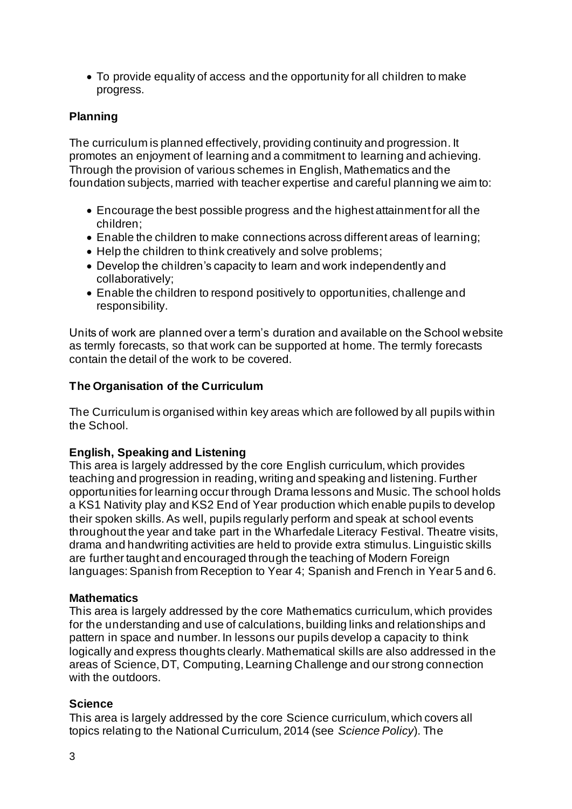• To provide equality of access and the opportunity for all children to make progress.

# **Planning**

The curriculum is planned effectively, providing continuity and progression. It promotes an enjoyment of learning and a commitment to learning and achieving. Through the provision of various schemes in English, Mathematics and the foundation subjects, married with teacher expertise and careful planning we aim to:

- Encourage the best possible progress and the highest attainment for all the children;
- Enable the children to make connections across different areas of learning;
- Help the children to think creatively and solve problems;
- Develop the children's capacity to learn and work independently and collaboratively;
- Enable the children to respond positively to opportunities, challenge and responsibility.

Units of work are planned over a term's duration and available on the School website as termly forecasts, so that work can be supported at home. The termly forecasts contain the detail of the work to be covered.

## **The Organisation of the Curriculum**

The Curriculum is organised within key areas which are followed by all pupils within the School.

# **English, Speaking and Listening**

This area is largely addressed by the core English curriculum, which provides teaching and progression in reading, writing and speaking and listening. Further opportunities for learning occur through Drama lessons and Music. The school holds a KS1 Nativity play and KS2 End of Year production which enable pupils to develop their spoken skills. As well, pupils regularly perform and speak at school events throughout the year and take part in the Wharfedale Literacy Festival. Theatre visits, drama and handwriting activities are held to provide extra stimulus. Linguistic skills are further taught and encouraged through the teaching of Modern Foreign languages: Spanish from Reception to Year 4; Spanish and French in Year 5 and 6.

### **Mathematics**

This area is largely addressed by the core Mathematics curriculum, which provides for the understanding and use of calculations, building links and relationships and pattern in space and number. In lessons our pupils develop a capacity to think logically and express thoughts clearly. Mathematical skills are also addressed in the areas of Science, DT, Computing, Learning Challenge and our strong connection with the outdoors.

### **Science**

This area is largely addressed by the core Science curriculum, which covers all topics relating to the National Curriculum, 2014 (see *Science Policy*). The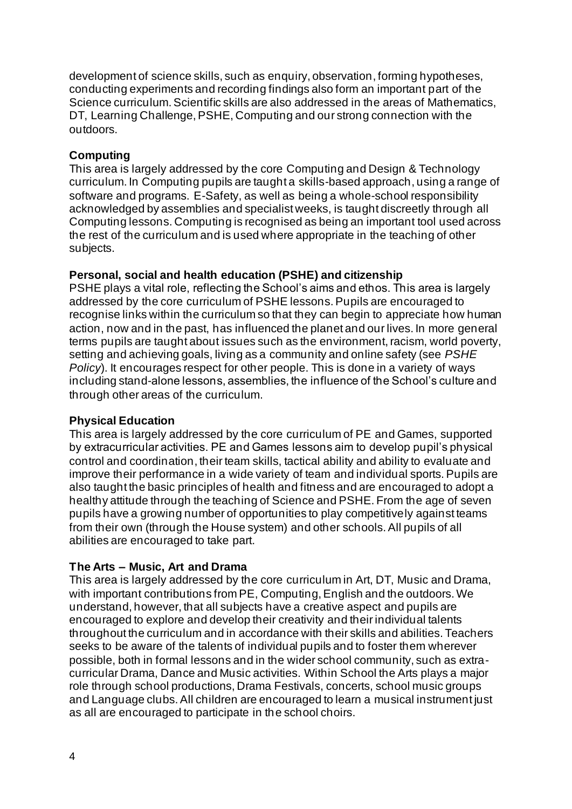development of science skills, such as enquiry, observation, forming hypotheses, conducting experiments and recording findings also form an important part of the Science curriculum. Scientific skills are also addressed in the areas of Mathematics, DT, Learning Challenge, PSHE, Computing and our strong connection with the outdoors.

## **Computing**

This area is largely addressed by the core Computing and Design & Technology curriculum. In Computing pupils are taught a skills-based approach, using a range of software and programs. E-Safety, as well as being a whole-school responsibility acknowledged by assemblies and specialist weeks, is taught discreetly through all Computing lessons. Computing is recognised as being an important tool used across the rest of the curriculum and is used where appropriate in the teaching of other subjects.

## **Personal, social and health education (PSHE) and citizenship**

PSHE plays a vital role, reflecting the School's aims and ethos. This area is largely addressed by the core curriculum of PSHE lessons. Pupils are encouraged to recognise links within the curriculum so that they can begin to appreciate how human action, now and in the past, has influenced the planet and our lives. In more general terms pupils are taught about issues such as the environment, racism, world poverty, setting and achieving goals, living as a community and online safety (see *PSHE Policy*). It encourages respect for other people. This is done in a variety of ways including stand-alone lessons, assemblies, the influence of the School's culture and through other areas of the curriculum.

### **Physical Education**

This area is largely addressed by the core curriculum of PE and Games, supported by extracurricular activities. PE and Games lessons aim to develop pupil's physical control and coordination, their team skills, tactical ability and ability to evaluate and improve their performance in a wide variety of team and individual sports. Pupils are also taught the basic principles of health and fitness and are encouraged to adopt a healthy attitude through the teaching of Science and PSHE. From the age of seven pupils have a growing number of opportunities to play competitively against teams from their own (through the House system) and other schools. All pupils of all abilities are encouraged to take part.

# **The Arts – Music, Art and Drama**

This area is largely addressed by the core curriculum in Art, DT, Music and Drama, with important contributions from PE, Computing, English and the outdoors. We understand, however, that all subjects have a creative aspect and pupils are encouraged to explore and develop their creativity and their individual talents throughout the curriculum and in accordance with their skills and abilities. Teachers seeks to be aware of the talents of individual pupils and to foster them wherever possible, both in formal lessons and in the wider school community, such as extracurricular Drama, Dance and Music activities. Within School the Arts plays a major role through school productions, Drama Festivals, concerts, school music groups and Language clubs. All children are encouraged to learn a musical instrument just as all are encouraged to participate in the school choirs.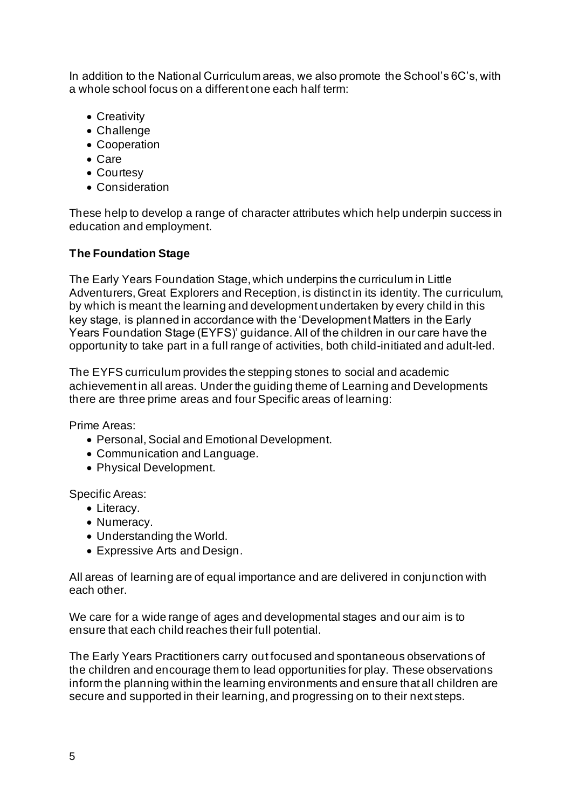In addition to the National Curriculum areas, we also promote the School's 6C's, with a whole school focus on a different one each half term:

- Creativity
- Challenge
- Cooperation
- Care
- Courtesy
- Consideration

These help to develop a range of character attributes which help underpin success in education and employment.

# **The Foundation Stage**

The Early Years Foundation Stage, which underpins the curriculum in Little Adventurers, Great Explorers and Reception, is distinct in its identity. The curriculum, by which is meant the learning and development undertaken by every child in this key stage, is planned in accordance with the 'Development Matters in the Early Years Foundation Stage (EYFS)' guidance. All of the children in our care have the opportunity to take part in a full range of activities, both child-initiated and adult-led.

The EYFS curriculum provides the stepping stones to social and academic achievement in all areas. Under the guiding theme of Learning and Developments there are three prime areas and four Specific areas of learning:

Prime Areas:

- Personal, Social and Emotional Development.
- Communication and Language.
- Physical Development.

Specific Areas:

- Literacy.
- Numeracy.
- Understanding the World.
- Expressive Arts and Design.

All areas of learning are of equal importance and are delivered in conjunction with each other.

We care for a wide range of ages and developmental stages and our aim is to ensure that each child reaches their full potential.

The Early Years Practitioners carry out focused and spontaneous observations of the children and encourage them to lead opportunities for play. These observations inform the planning within the learning environments and ensure that all children are secure and supported in their learning, and progressing on to their next steps.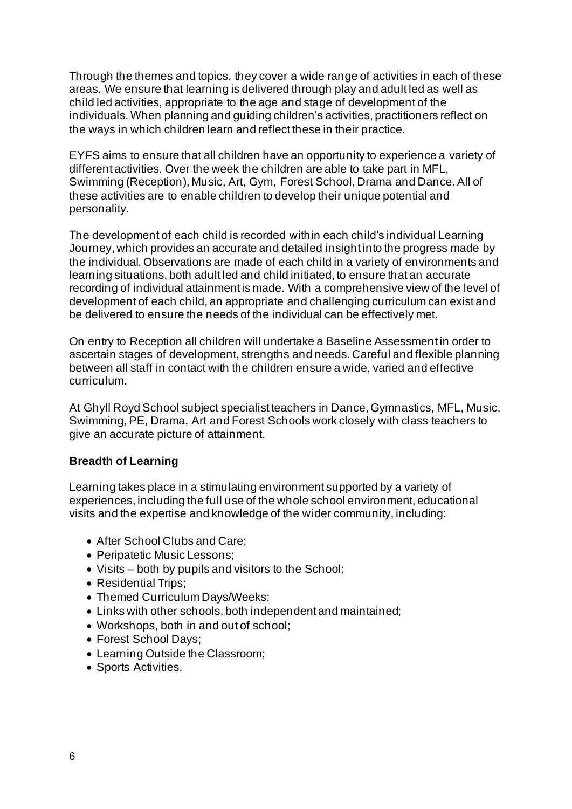Through the themes and topics, they cover a wide range of activities in each of these areas. We ensure that learning is delivered through play and adult led as well as child led activities, appropriate to the age and stage of development of the individuals. When planning and guiding children's activities, practitioners reflect on the ways in which children learn and reflect these in their practice.

EYFS aims to ensure that all children have an opportunity to experience a variety of different activities. Over the week the children are able to take part in MFL, Swimming (Reception), Music, Art, Gym, Forest School, Drama and Dance. All of these activities are to enable children to develop their unique potential and personality.

The development of each child is recorded within each child's individual Learning Journey, which provides an accurate and detailed insight into the progress made by the individual. Observations are made of each child in a variety of environments and learning situations, both adult led and child initiated, to ensure that an accurate recording of individual attainment is made. With a comprehensive view of the level of development of each child, an appropriate and challenging curriculum can exist and be delivered to ensure the needs of the individual can be effectively met.

On entry to Reception all children will undertake a Baseline Assessment in order to ascertain stages of development, strengths and needs. Careful and flexible planning between all staff in contact with the children ensure a wide, varied and effective curriculum.

At Ghyll Royd School subject specialist teachers in Dance, Gymnastics, MFL, Music, Swimming, PE, Drama, Art and Forest Schools work closely with class teachers to give an accurate picture of attainment.

# **Breadth of Learning**

Learning takes place in a stimulating environment supported by a variety of experiences, including the full use of the whole school environment, educational visits and the expertise and knowledge of the wider community, including:

- After School Clubs and Care;
- Peripatetic Music Lessons;
- Visits both by pupils and visitors to the School;
- Residential Trips;
- Themed Curriculum Days/Weeks;
- Links with other schools, both independent and maintained;
- Workshops, both in and out of school;
- Forest School Days;
- Learning Outside the Classroom;
- Sports Activities.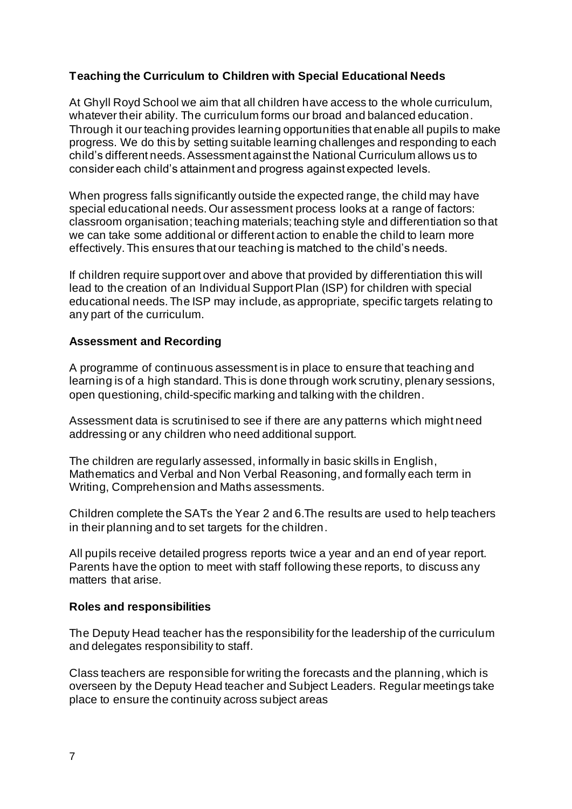# **Teaching the Curriculum to Children with Special Educational Needs**

At Ghyll Royd School we aim that all children have access to the whole curriculum, whatever their ability. The curriculum forms our broad and balanced education. Through it our teaching provides learning opportunities that enable all pupils to make progress. We do this by setting suitable learning challenges and responding to each child's different needs. Assessment against the National Curriculum allows us to consider each child's attainment and progress against expected levels.

When progress falls significantly outside the expected range, the child may have special educational needs. Our assessment process looks at a range of factors: classroom organisation; teaching materials; teaching style and differentiation so that we can take some additional or different action to enable the child to learn more effectively. This ensures that our teaching is matched to the child's needs.

If children require support over and above that provided by differentiation this will lead to the creation of an Individual Support Plan (ISP) for children with special educational needs. The ISP may include, as appropriate, specific targets relating to any part of the curriculum.

# **Assessment and Recording**

A programme of continuous assessment is in place to ensure that teaching and learning is of a high standard. This is done through work scrutiny, plenary sessions, open questioning, child-specific marking and talking with the children.

Assessment data is scrutinised to see if there are any patterns which might need addressing or any children who need additional support.

The children are regularly assessed, informally in basic skills in English, Mathematics and Verbal and Non Verbal Reasoning, and formally each term in Writing, Comprehension and Maths assessments.

Children complete the SATs the Year 2 and 6.The results are used to help teachers in their planning and to set targets for the children.

All pupils receive detailed progress reports twice a year and an end of year report. Parents have the option to meet with staff following these reports, to discuss any matters that arise.

### **Roles and responsibilities**

The Deputy Head teacher has the responsibility for the leadership of the curriculum and delegates responsibility to staff.

Class teachers are responsible for writing the forecasts and the planning, which is overseen by the Deputy Head teacher and Subject Leaders. Regular meetings take place to ensure the continuity across subject areas